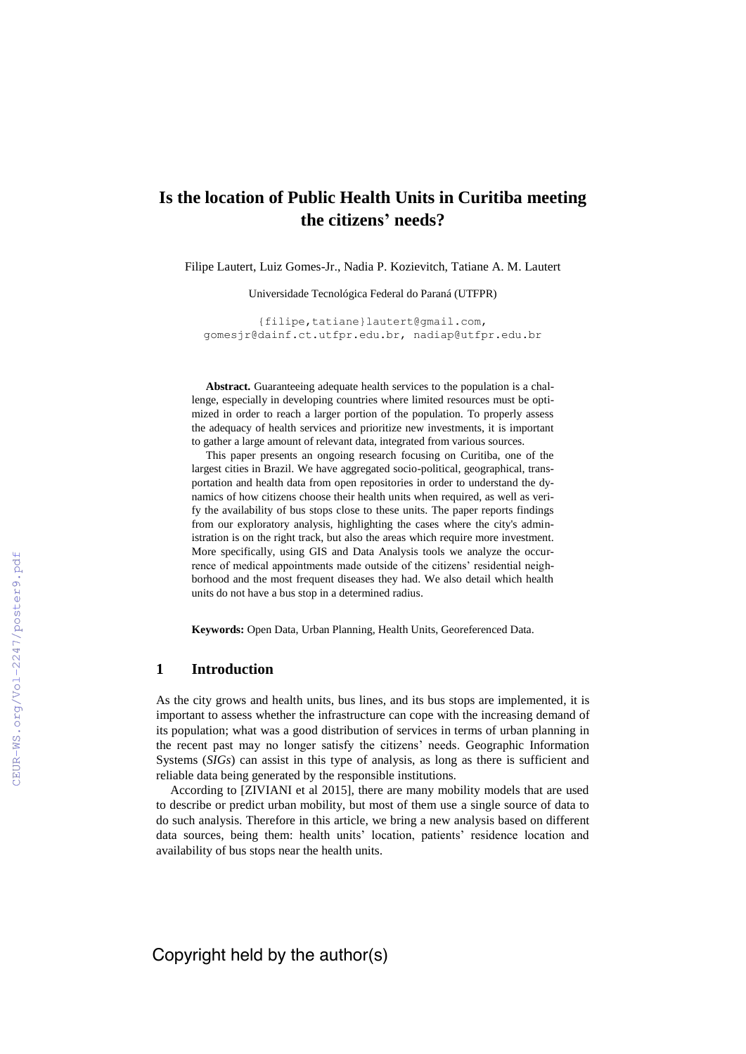# **Is the location of Public Health Units in Curitiba meeting the citizens' needs?**

Filipe Lautert, Luiz Gomes-Jr., Nadia P. Kozievitch, Tatiane A. M. Lautert

Universidade Tecnológica Federal do Paraná (UTFPR)

{filipe,tatiane}lautert@gmail.com, [gomesjr@dainf.ct.utfpr.edu.br,](mailto:gomesjr@dainf.ct.utfpr.edu.br) nadiap@utfpr.edu.br

Abstract. Guaranteeing adequate health services to the population is a challenge, especially in developing countries where limited resources must be optimized in order to reach a larger portion of the population. To properly assess the adequacy of health services and prioritize new investments, it is important to gather a large amount of relevant data, integrated from various sources.

This paper presents an ongoing research focusing on Curitiba, one of the largest cities in Brazil. We have aggregated socio-political, geographical, transportation and health data from open repositories in order to understand the dynamics of how citizens choose their health units when required, as well as verify the availability of bus stops close to these units. The paper reports findings from our exploratory analysis, highlighting the cases where the city's administration is on the right track, but also the areas which require more investment. More specifically, using GIS and Data Analysis tools we analyze the occurrence of medical appointments made outside of the citizens' residential neighborhood and the most frequent diseases they had. We also detail which health units do not have a bus stop in a determined radius.

**Keywords:** Open Data, Urban Planning, Health Units, Georeferenced Data.

### **1 Introduction**

As the city grows and health units, bus lines, and its bus stops are implemented, it is important to assess whether the infrastructure can cope with the increasing demand of its population; what was a good distribution of services in terms of urban planning in the recent past may no longer satisfy the citizens' needs. Geographic Information Systems (*SIGs*) can assist in this type of analysis, as long as there is sufficient and reliable data being generated by the responsible institutions.

According to [ZIVIANI et al 2015], there are many mobility models that are used to describe or predict urban mobility, but most of them use a single source of data to do such analysis. Therefore in this article, we bring a new analysis based on different data sources, being them: health units' location, patients' residence location and availability of bus stops near the health units.

Copyright held by the author(s)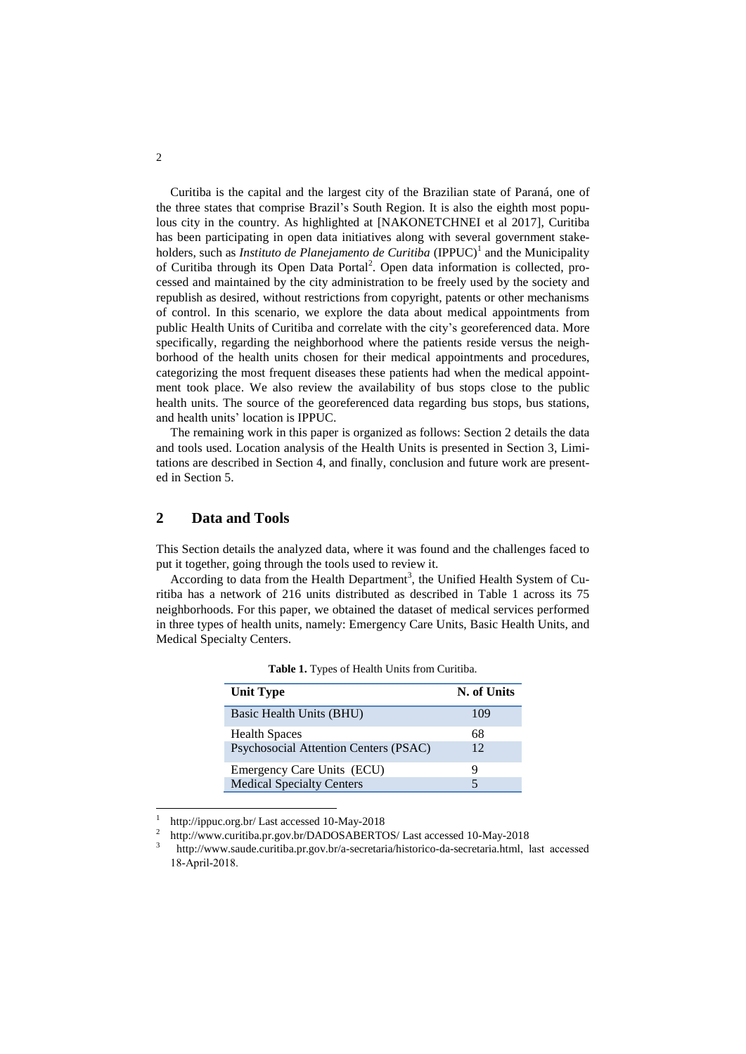Curitiba is the capital and the largest city of the Brazilian state of Paraná, one of the three states that comprise Brazil's South Region. It is also the eighth most populous city in the country. As highlighted at [NAKONETCHNEI et al 2017], Curitiba has been participating in open data initiatives along with several government stakeholders, such as *Instituto de Planejamento de Curitiba* (IPPUC)<sup>1</sup> and the Municipality of Curitiba through its Open Data Portal<sup>2</sup>. Open data information is collected, processed and maintained by the city administration to be freely used by the society and republish as desired, without restrictions from copyright, patents or other mechanisms of control. In this scenario, we explore the data about medical appointments from public Health Units of Curitiba and correlate with the city's georeferenced data. More specifically, regarding the neighborhood where the patients reside versus the neighborhood of the health units chosen for their medical appointments and procedures, categorizing the most frequent diseases these patients had when the medical appointment took place. We also review the availability of bus stops close to the public health units. The source of the georeferenced data regarding bus stops, bus stations, and health units' location is IPPUC.

The remaining work in this paper is organized as follows: Section 2 details the data and tools used. Location analysis of the Health Units is presented in Section 3, Limitations are described in Section 4, and finally, conclusion and future work are presented in Section 5.

## **2 Data and Tools**

This Section details the analyzed data, where it was found and the challenges faced to put it together, going through the tools used to review it.

According to data from the Health Department<sup>3</sup>, the Unified Health System of Curitiba has a network of 216 units distributed as described in Table 1 across its 75 neighborhoods. For this paper, we obtained the dataset of medical services performed in three types of health units, namely: Emergency Care Units, Basic Health Units, and Medical Specialty Centers.

| <b>Unit Type</b>                      | N. of Units |
|---------------------------------------|-------------|
| Basic Health Units (BHU)              | 109         |
| <b>Health Spaces</b>                  | 68          |
| Psychosocial Attention Centers (PSAC) | 12          |
| Emergency Care Units (ECU)            |             |
| <b>Medical Specialty Centers</b>      |             |

**Table 1.** Types of Health Units from Curitiba.

 $\overline{a}$ 

<sup>1</sup> http://ippuc.org.br/ Last accessed 10-May-2018

<sup>2</sup> http://www.curitiba.pr.gov.br/DADOSABERTOS/ Last accessed 10-May-2018

<sup>3</sup> <http://www.saude.curitiba.pr.gov.br/a-secretaria/historico-da-secretaria.html>, last accessed 18-April-2018.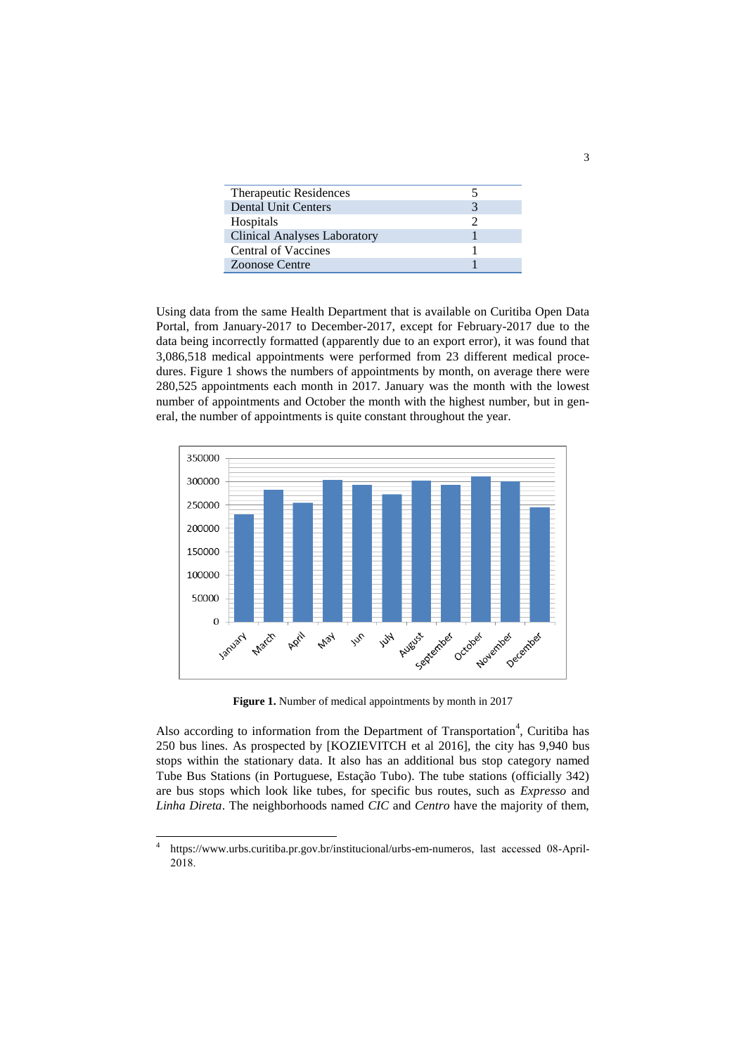| <b>Therapeutic Residences</b>       |  |
|-------------------------------------|--|
| Dental Unit Centers                 |  |
| Hospitals                           |  |
| <b>Clinical Analyses Laboratory</b> |  |
| Central of Vaccines                 |  |
| <b>Zoonose Centre</b>               |  |

Using data from the same Health Department that is available on Curitiba Open Data Portal, from January-2017 to December-2017, except for February-2017 due to the data being incorrectly formatted (apparently due to an export error), it was found that 3,086,518 medical appointments were performed from 23 different medical procedures. Figure 1 shows the numbers of appointments by month, on average there were 280,525 appointments each month in 2017. January was the month with the lowest number of appointments and October the month with the highest number, but in general, the number of appointments is quite constant throughout the year.



**Figure 1.** Number of medical appointments by month in 2017

Also according to information from the Department of Transportation<sup>4</sup>, Curitiba has 250 bus lines. As prospected by [KOZIEVITCH et al 2016], the city has 9,940 bus stops within the stationary data. It also has an additional bus stop category named Tube Bus Stations (in Portuguese, Estação Tubo). The tube stations (officially 342) are bus stops which look like tubes, for specific bus routes, such as *Expresso* and *Linha Direta*. The neighborhoods named *CIC* and *Centro* have the majority of them,

 $\frac{1}{4}$ <https://www.urbs.curitiba.pr.gov.br/institucional/urbs-em-numeros>, last accessed 08-April-2018.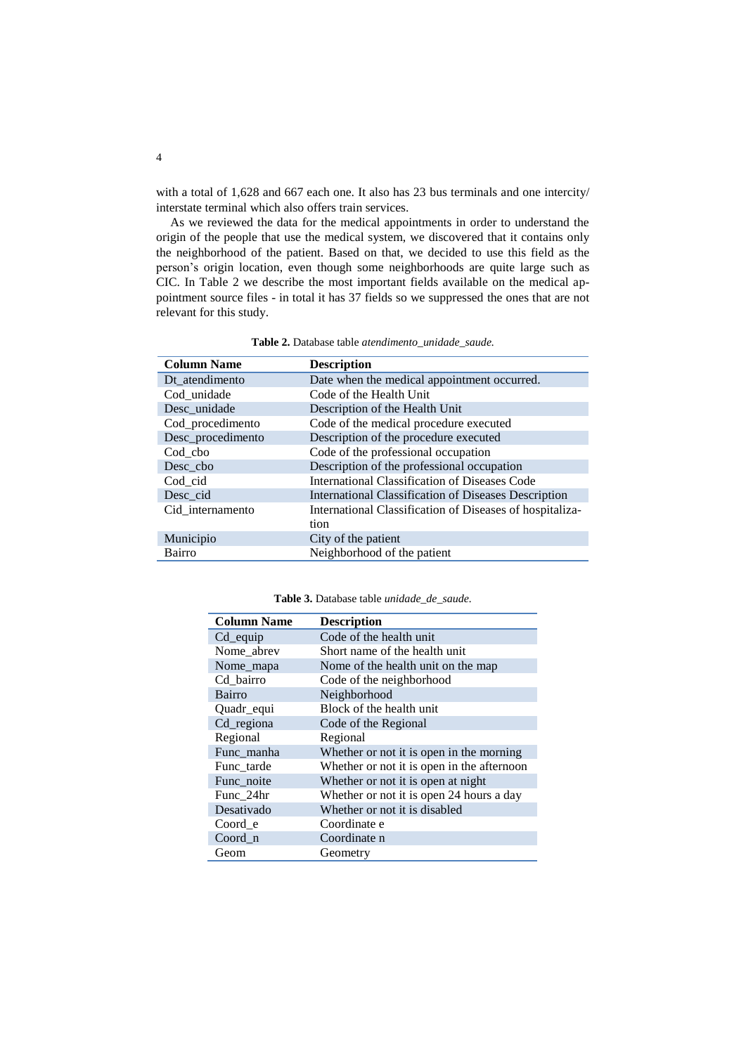with a total of 1,628 and 667 each one. It also has 23 bus terminals and one intercity/ interstate terminal which also offers train services.

As we reviewed the data for the medical appointments in order to understand the origin of the people that use the medical system, we discovered that it contains only the neighborhood of the patient. Based on that, we decided to use this field as the person's origin location, even though some neighborhoods are quite large such as CIC. In Table 2 we describe the most important fields available on the medical appointment source files - in total it has 37 fields so we suppressed the ones that are not relevant for this study.

| <b>Column Name</b> | <b>Description</b>                                       |
|--------------------|----------------------------------------------------------|
| Dt atendimento     | Date when the medical appointment occurred.              |
| Cod_unidade        | Code of the Health Unit                                  |
| Desc_unidade       | Description of the Health Unit                           |
| Cod_procedimento   | Code of the medical procedure executed                   |
| Desc_procedimento  | Description of the procedure executed                    |
| Cod cbo            | Code of the professional occupation                      |
| Desc cbo           | Description of the professional occupation               |
| Cod cid            | International Classification of Diseases Code            |
| Desc cid           | International Classification of Diseases Description     |
| Cid internamento   | International Classification of Diseases of hospitaliza- |
|                    | tion                                                     |
| Municipio          | City of the patient                                      |
| Bairro             | Neighborhood of the patient                              |

**Table 2.** Database table *atendimento\_unidade\_saude.*

**Table 3.** Database table *unidade\_de\_saude.*

| <b>Column Name</b> | <b>Description</b>                         |
|--------------------|--------------------------------------------|
| Cd equip           | Code of the health unit                    |
| Nome abrev         | Short name of the health unit              |
| Nome_mapa          | Nome of the health unit on the map         |
| Cd_bairro          | Code of the neighborhood                   |
| Bairro             | Neighborhood                               |
| Quadr_equi         | Block of the health unit                   |
| Cd_regiona         | Code of the Regional                       |
| Regional           | Regional                                   |
| Func_manha         | Whether or not it is open in the morning   |
| Func_tarde         | Whether or not it is open in the afternoon |
| Func noite         | Whether or not it is open at night         |
| Func_24hr          | Whether or not it is open 24 hours a day   |
| Desativado         | Whether or not it is disabled              |
| Coord_e            | Coordinate e                               |
| Coord n            | Coordinate n                               |
| Geom               | Geometry                                   |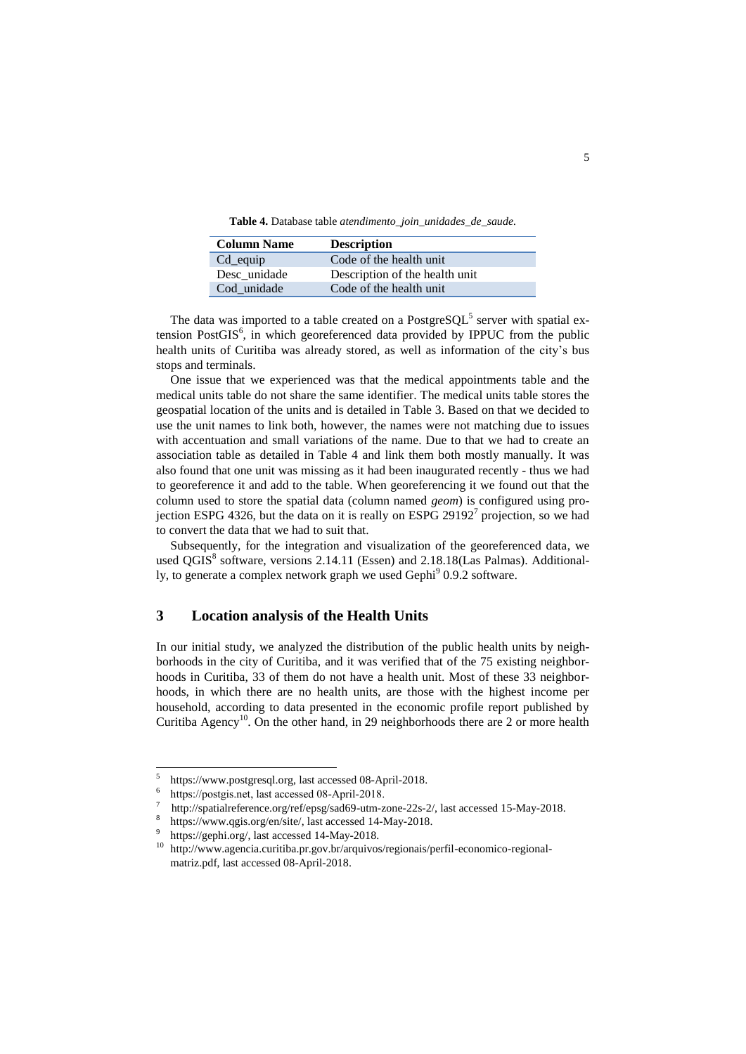**Table 4.** Database table *atendimento\_join\_unidades\_de\_saude.*

| <b>Column Name</b> | <b>Description</b>             |
|--------------------|--------------------------------|
| $Cd$ equip         | Code of the health unit        |
| Desc unidade       | Description of the health unit |
| Cod unidade        | Code of the health unit        |

The data was imported to a table created on a PostgreSQL<sup>5</sup> server with spatial extension Post $GIS<sup>6</sup>$ , in which georeferenced data provided by IPPUC from the public health units of Curitiba was already stored, as well as information of the city's bus stops and terminals.

One issue that we experienced was that the medical appointments table and the medical units table do not share the same identifier. The medical units table stores the geospatial location of the units and is detailed in Table 3. Based on that we decided to use the unit names to link both, however, the names were not matching due to issues with accentuation and small variations of the name. Due to that we had to create an association table as detailed in Table 4 and link them both mostly manually. It was also found that one unit was missing as it had been inaugurated recently - thus we had to georeference it and add to the table. When georeferencing it we found out that the column used to store the spatial data (column named *geom*) is configured using projection ESPG 4326, but the data on it is really on ESPG 29192<sup>7</sup> projection, so we had to convert the data that we had to suit that.

Subsequently, for the integration and visualization of the georeferenced data, we used QGIS<sup>8</sup> software, versions 2.14.11 (Essen) and 2.18.18(Las Palmas). Additionally, to generate a complex network graph we used Gephi<sup>9</sup> 0.9.2 software.

### **3 Location analysis of the Health Units**

In our initial study, we analyzed the distribution of the public health units by neighborhoods in the city of Curitiba, and it was verified that of the 75 existing neighborhoods in Curitiba, 33 of them do not have a health unit. Most of these 33 neighborhoods, in which there are no health units, are those with the highest income per household, according to data presented in the economic profile report published by Curitiba Agency<sup>10</sup>. On the other hand, in 29 neighborhoods there are 2 or more health

 5 https://www.postgresql.org, last accessed 08-April-2018.

<sup>6</sup> [https://postgis.net,](https://postgis.net/) last accessed 08-April-2018.

<sup>7</sup> [http://spatialreference.org/ref/epsg/sad69-utm-zone-22s-2/,](http://spatialreference.org/ref/epsg/sad69-utm-zone-22s-2/) last accessed 15-May-2018.

<sup>8</sup> [https://www.qgis.org/en/site/,](https://www.qgis.org/en/site/) last accessed 14-May-2018.

<sup>9</sup> [https://gephi.org/,](https://gephi.org/) last accessed 14-May-2018.

<sup>10</sup> http://www.agencia.curitiba.pr.gov.br/arquivos/regionais/perfil-economico-regionalmatriz.pdf, last accessed 08-April-2018.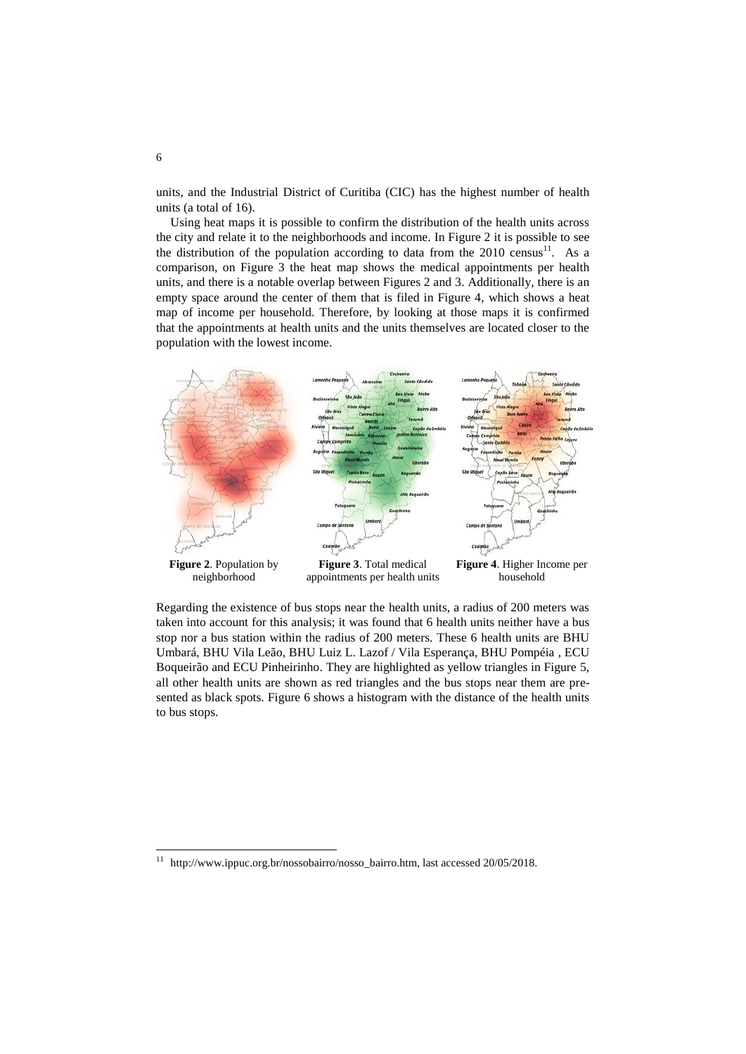units, and the Industrial District of Curitiba (CIC) has the highest number of health units (a total of 16).

Using heat maps it is possible to confirm the distribution of the health units across the city and relate it to the neighborhoods and income. In Figure 2 it is possible to see the distribution of the population according to data from the  $2010 \text{ census}^{11}$ . As a comparison, on Figure 3 the heat map shows the medical appointments per health units, and there is a notable overlap between Figures 2 and 3. Additionally, there is an empty space around the center of them that is filed in Figure 4, which shows a heat map of income per household. Therefore, by looking at those maps it is confirmed that the appointments at health units and the units themselves are located closer to the population with the lowest income.



Regarding the existence of bus stops near the health units, a radius of 200 meters was taken into account for this analysis; it was found that 6 health units neither have a bus stop nor a bus station within the radius of 200 meters. These 6 health units are BHU Umbará, BHU Vila Leão, BHU Luiz L. Lazof / Vila Esperança, BHU Pompéia , ECU Boqueirão and ECU Pinheirinho. They are highlighted as yellow triangles in Figure 5, all other health units are shown as red triangles and the bus stops near them are presented as black spots. Figure 6 shows a histogram with the distance of the health units to bus stops.

 $\overline{a}$ 

<sup>&</sup>lt;sup>11</sup> http://www.ippuc.org.br/nossobairro/nosso\_bairro.htm, last accessed 20/05/2018.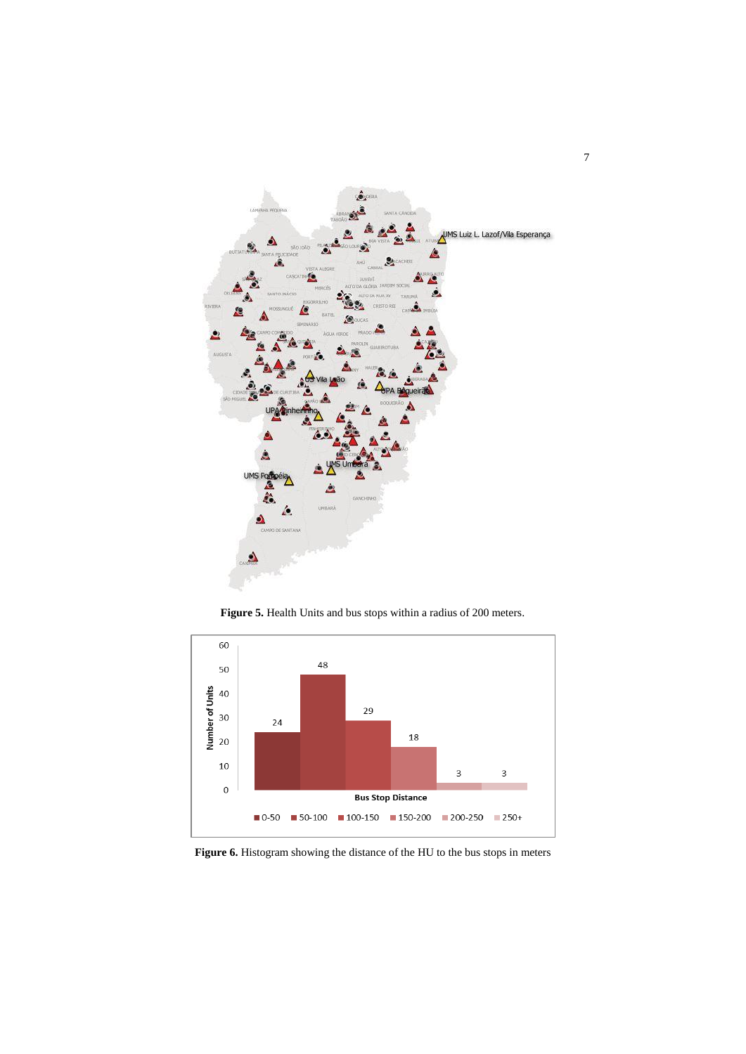

**Figure 5.** Health Units and bus stops within a radius of 200 meters.



**Figure 6.** Histogram showing the distance of the HU to the bus stops in meters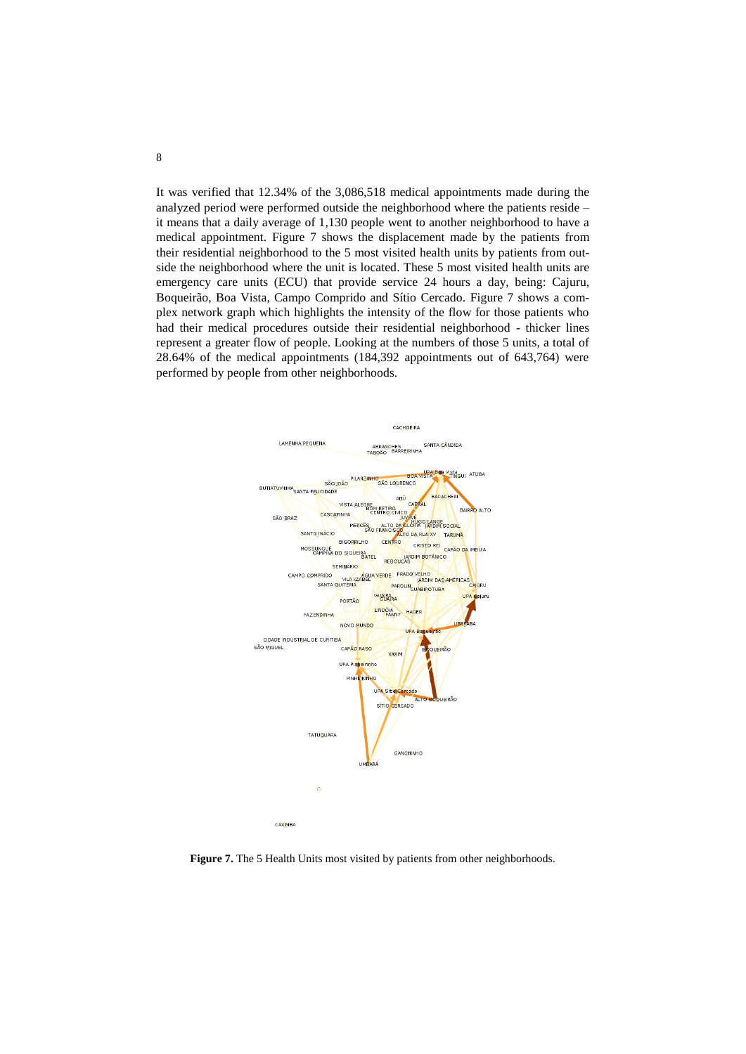It was verified that 12.34% of the 3,086,518 medical appointments made during the analyzed period were performed outside the neighborhood where the patients reside – it means that a daily average of 1,130 people went to another neighborhood to have a medical appointment. Figure 7 shows the displacement made by the patients from their residential neighborhood to the 5 most visited health units by patients from outside the neighborhood where the unit is located. These 5 most visited health units are emergency care units (ECU) that provide service 24 hours a day, being: Cajuru, Boqueirão, Boa Vista, Campo Comprido and Sítio Cercado. Figure 7 shows a complex network graph which highlights the intensity of the flow for those patients who had their medical procedures outside their residential neighborhood - thicker lines represent a greater flow of people. Looking at the numbers of those 5 units, a total of 28.64% of the medical appointments (184,392 appointments out of 643,764) were performed by people from other neighborhoods.



**Figure 7.** The 5 Health Units most visited by patients from other neighborhoods.

8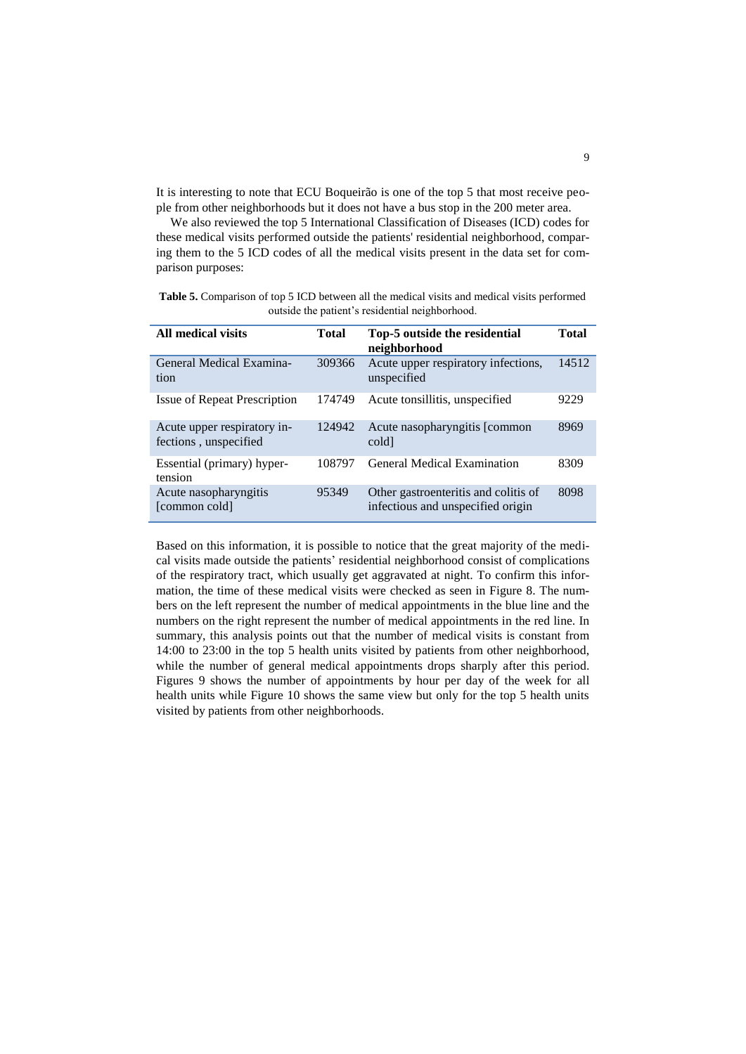It is interesting to note that ECU Boqueirão is one of the top 5 that most receive people from other neighborhoods but it does not have a bus stop in the 200 meter area.

We also reviewed the top 5 International Classification of Diseases (ICD) codes for these medical visits performed outside the patients' residential neighborhood, comparing them to the 5 ICD codes of all the medical visits present in the data set for comparison purposes:

**Table 5.** Comparison of top 5 ICD between all the medical visits and medical visits performed outside the patient's residential neighborhood.

| All medical visits                                   | <b>Total</b> | Top-5 outside the residential<br>neighborhood                             | Total |
|------------------------------------------------------|--------------|---------------------------------------------------------------------------|-------|
| General Medical Examina-<br>tion                     | 309366       | Acute upper respiratory infections,<br>unspecified                        | 14512 |
| <b>Issue of Repeat Prescription</b>                  | 174749       | Acute tonsillitis, unspecified                                            | 9229  |
| Acute upper respiratory in-<br>fections, unspecified | 124942       | Acute nasopharyngitis [common<br>cold                                     | 8969  |
| Essential (primary) hyper-<br>tension                | 108797       | General Medical Examination                                               | 8309  |
| Acute nasopharyngitis<br>[common cold]               | 95349        | Other gastroenteritis and colitis of<br>infectious and unspecified origin | 8098  |

Based on this information, it is possible to notice that the great majority of the medical visits made outside the patients' residential neighborhood consist of complications of the respiratory tract, which usually get aggravated at night. To confirm this information, the time of these medical visits were checked as seen in Figure 8. The numbers on the left represent the number of medical appointments in the blue line and the numbers on the right represent the number of medical appointments in the red line. In summary, this analysis points out that the number of medical visits is constant from 14:00 to 23:00 in the top 5 health units visited by patients from other neighborhood, while the number of general medical appointments drops sharply after this period. Figures 9 shows the number of appointments by hour per day of the week for all health units while Figure 10 shows the same view but only for the top 5 health units visited by patients from other neighborhoods.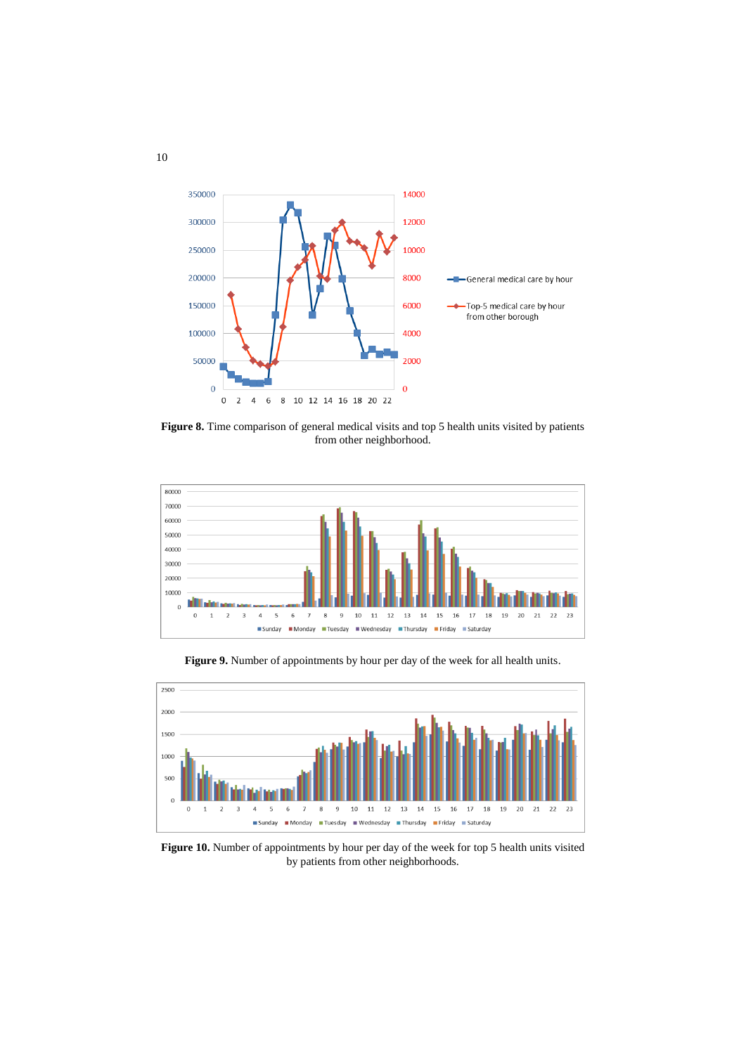

**Figure 8.** Time comparison of general medical visits and top 5 health units visited by patients from other neighborhood.



**Figure 9.** Number of appointments by hour per day of the week for all health units.



Figure 10. Number of appointments by hour per day of the week for top 5 health units visited by patients from other neighborhoods.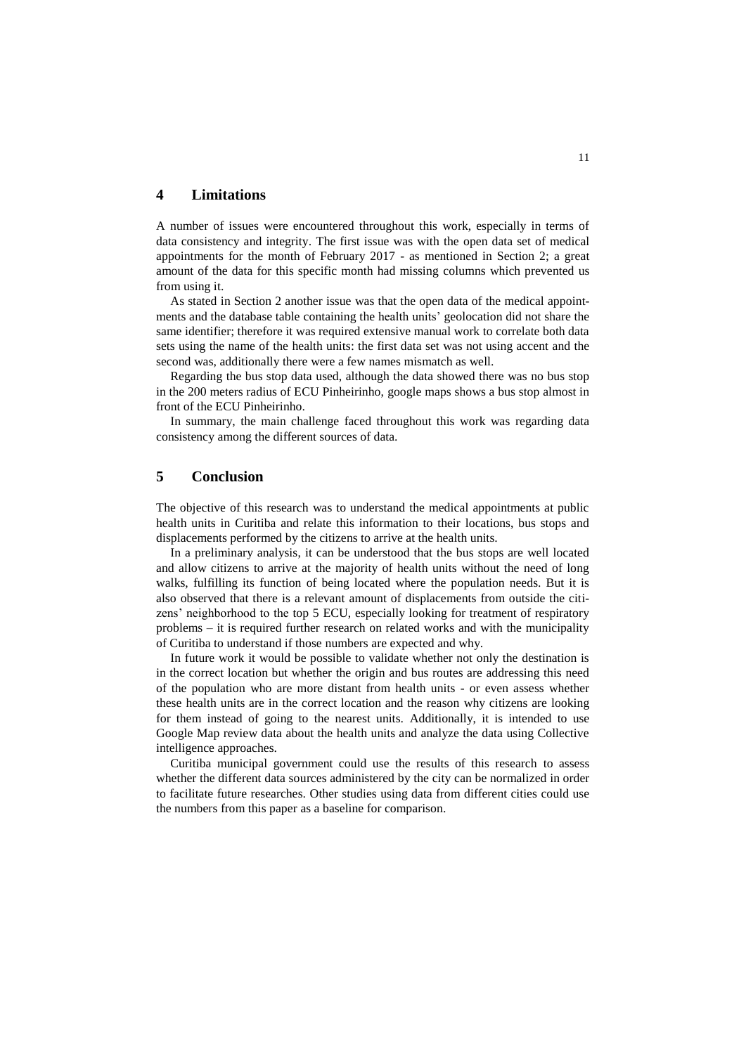## **4 Limitations**

A number of issues were encountered throughout this work, especially in terms of data consistency and integrity. The first issue was with the open data set of medical appointments for the month of February 2017 - as mentioned in Section 2; a great amount of the data for this specific month had missing columns which prevented us from using it.

As stated in Section 2 another issue was that the open data of the medical appointments and the database table containing the health units' geolocation did not share the same identifier; therefore it was required extensive manual work to correlate both data sets using the name of the health units: the first data set was not using accent and the second was, additionally there were a few names mismatch as well.

Regarding the bus stop data used, although the data showed there was no bus stop in the 200 meters radius of ECU Pinheirinho, google maps shows a bus stop almost in front of the ECU Pinheirinho.

In summary, the main challenge faced throughout this work was regarding data consistency among the different sources of data.

# **5 Conclusion**

The objective of this research was to understand the medical appointments at public health units in Curitiba and relate this information to their locations, bus stops and displacements performed by the citizens to arrive at the health units.

In a preliminary analysis, it can be understood that the bus stops are well located and allow citizens to arrive at the majority of health units without the need of long walks, fulfilling its function of being located where the population needs. But it is also observed that there is a relevant amount of displacements from outside the citizens' neighborhood to the top 5 ECU, especially looking for treatment of respiratory problems – it is required further research on related works and with the municipality of Curitiba to understand if those numbers are expected and why.

In future work it would be possible to validate whether not only the destination is in the correct location but whether the origin and bus routes are addressing this need of the population who are more distant from health units - or even assess whether these health units are in the correct location and the reason why citizens are looking for them instead of going to the nearest units. Additionally, it is intended to use Google Map review data about the health units and analyze the data using Collective intelligence approaches.

Curitiba municipal government could use the results of this research to assess whether the different data sources administered by the city can be normalized in order to facilitate future researches. Other studies using data from different cities could use the numbers from this paper as a baseline for comparison.